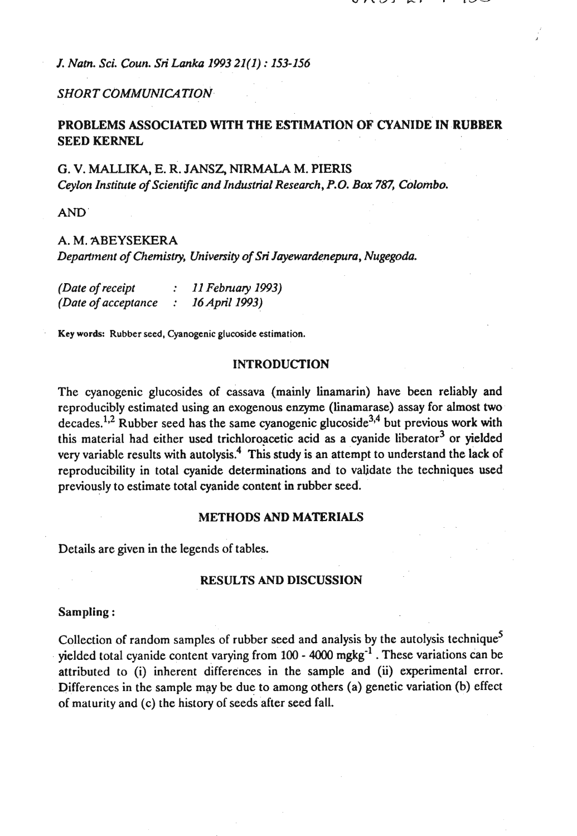*J. Nam. Sci. Coun. Sti Lanka 1993 21(1)* : *153-156* 

# **SHORT COMMUNICATION**

# **PROBLEMS ASSOCIATED WITH THE ESTIMATION OF CYANIDE IN RUBBER SEED KERNEL**

## **G. V. MALLIKA, E. R. JANSZ, NIRMALA M. PIERIS** *Ceylon Institute of Scientific and Industrial Research,* **P.O.** *Bar 787, CoIombo.*

**AND** 

### *A. M.* **ABEYSEKERA**

*Depart~nent of Chemistry, University of Sti Jayewardeneputo, Nugegoda.* 

| (Date of receipt    |               | 11 February 1993) |
|---------------------|---------------|-------------------|
| (Date of acceptance | $\mathcal{L}$ | 16 April 1993)    |

**Key words: Rubber seed, Cyanogenic glucoside estimation.** 

#### **INTRODUCTION**

The cyanogenic glucosides of cassava (mainly linamarin) have **bem** reliably and reproducibly estimated using an exogenous enzyme (linamarase) assay for almost two decades.<sup>1,2</sup> Rubber seed has the same cyanogenic glucoside<sup>3,4</sup> but previous work with this material had either used trichloroacetic acid as a cyanide liberator<sup>3</sup> or yielded very variable results with autolysis.<sup>4</sup> This study is an attempt to understand the lack of reproducibility in total cyanide determinations and to validate the techniques used previously to estimate total cyanide content in rubber seed.

#### **METHODS AND MATERIALS**

Details are given in the legends of tables.

#### **RESULTS AND DISCUSSION**

#### **Sampling** :

Collection of random samples of rubber seed and analysis by the autolysis technique<sup>5</sup> yielded total cyanide content varying from  $100 - 4000$  mgkg<sup>-1</sup>. These variations can be attributed to (i) inherent differences in the sample and **(ii)** experimental error. Differences in the sample may be due to among others (a) genetic variation (b) effect of maturity and (c) the history of seeds after seed fall.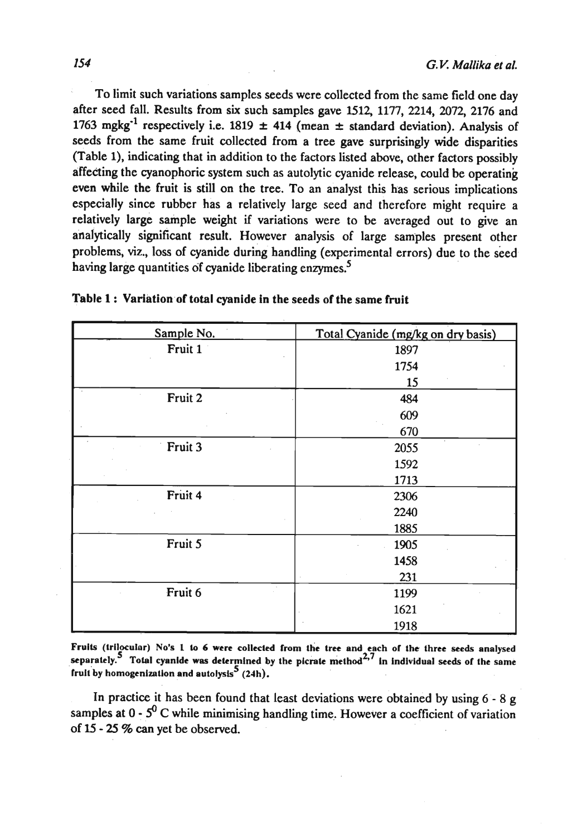To limit such variations samples seeds were collected from the same field one day after seed fall. Results from six such samples gave 1512, 1177, 2214, 2072, 2176 and 1763 mgkg<sup>-1</sup> respectively i.e. 1819  $\pm$  414 (mean  $\pm$  standard deviation). Analysis of seeds from the same fruit collected from a tree gave surprisingly wide disparities (Table I), indicating that in addition to the factors listed above, other factors possibly affecting the cyanophoric system such as autolytic cyanide release, could be operating even while the fruit is still on the tree. To an analyst this has serious implications especially since rubber has a relatively large seed and therefore might require a relatively large sample weight if variations were to be averaged out to give an analytically significant result. However analysis of large samples present other problems, viz., loss of cyanide during handling (experimental errors) due to the seed having large quantities of cyanide liberating enzymes.<sup>5</sup>

| Sample No. | Total Cyanide (mg/kg on dry basis) |
|------------|------------------------------------|
| Fruit 1    | 1897                               |
|            | 1754                               |
|            | 15                                 |
| Fruit 2    | 484                                |
|            | 609                                |
|            | 670                                |
| Fruit 3    | 2055                               |
|            | 1592                               |
|            | 1713                               |
| Fruit 4    | 2306                               |
|            | 2240                               |
|            | 1885                               |
| Fruit 5    | 1905                               |
|            | 1458                               |
|            | 231                                |
| Fruit 6    | 1199                               |
|            | 1621                               |
|            | 1918                               |

| Table 1: Variation of total cyanide in the seeds of the same fruit |  |  |
|--------------------------------------------------------------------|--|--|

**Fruits (lrilocular) No's** 1 lo 6 **wen collected from the tree and each or the lhree seeds analysed**  separately.<sup>5</sup> Total cyanide was determined by the picrate method<sup>2,7</sup> in individual seeds of the same fruit by homogenization and autolysis<sup>5</sup> (24h).

In practice it has been found that least deviations were obtained by using  $6 - 8$  g samples at  $0 - 5^0$  C while minimising handling time. However a coefficient of variation of 15 - 25 % can yet be observed.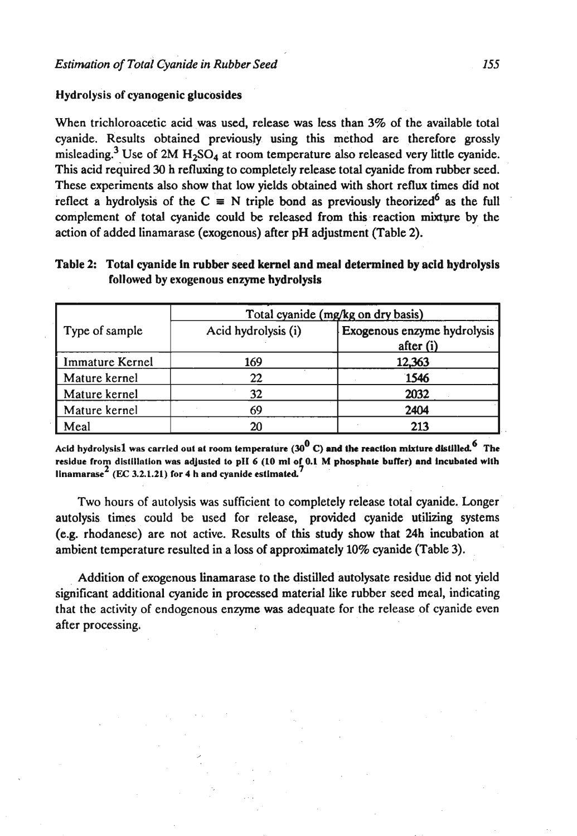#### Hydrolysis of cyanogenic glucosides

When trichloroacetic acid was used, release was less than 3% of the available total cyanide. Results obtained previously using this method are therefore grossly misleading.<sup>3</sup> Use of 2M  $H_2SO_4$  at room temperature also released very little cyanide. This acid required 30 h refluxing to completely release total cyanide from rubber seed. These experiments also show that low yields obtained with short reflux times did not reflect a hydrolysis of the  $C \equiv N$  triple bond as previously theorized<sup>6</sup> as the full complement of total cyanide could be released from this reaction mixture by the action of added linamarase (exogenous) after pH adjustment (Table 2).

| Table 2: Total cyanide in rubber seed kernel and meal determined by acid hydrolysis |
|-------------------------------------------------------------------------------------|
| followed by exogenous enzyme hydrolysis                                             |

|                        | Total cyanide (mg/kg on dry basis) |                                          |  |
|------------------------|------------------------------------|------------------------------------------|--|
| Type of sample         | Acid hydrolysis (i)                | Exogenous enzyme hydrolysis<br>after (i) |  |
| <b>Immature Kernel</b> | 169                                | 12,363                                   |  |
| Mature kernel          | 22                                 | 1546                                     |  |
| Mature kernel          | 32                                 | 2032                                     |  |
| Mature kernel          | 69                                 | 2404                                     |  |
| Meal                   | 20                                 | 213                                      |  |

**0 6 Acld hydrolysis1 was carried out at room lemperntun (30 C) ond the reaction mixture dlslilled. The**  residue from distillation was adjusted to pH 6 (10 ml of 0.1 M phosphate buffer) and incubated with  $2 \times 3.2.1.21$  for 4 **h** and cyanide estimated.

Two hours of autolysis was sufficient to completely release total cyanide. Longer autolysis times could be used for release, provided cyanide utilizing systems (e.g. rhodanese) are not active. Results of this study show that 24h incubation at ambient temperature resulted in a loss of approximately 10% cyanide (Table 3).

Addition of exogenous linamarase to the distilled autolysate residue did not yield significant additional cyanide in processed material Like rubber seed meal, indicating that the activity of endogenous enzyme was adequate for the release of cyanide even after processing.